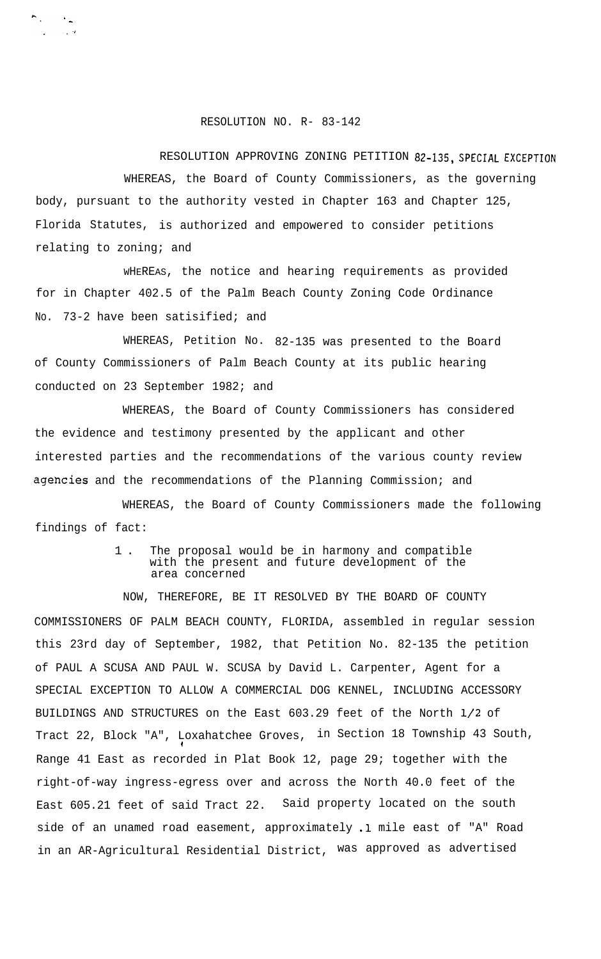## RESOLUTION NO. R- 83-142

 $\sum_{i=1}^{n} \frac{1}{i} \sum_{j=1}^{n} \frac{1}{j} \sum_{j=1}^{n} \frac{1}{j} \sum_{j=1}^{n} \frac{1}{j} \sum_{j=1}^{n} \frac{1}{j} \sum_{j=1}^{n} \frac{1}{j} \sum_{j=1}^{n} \frac{1}{j} \sum_{j=1}^{n} \frac{1}{j} \sum_{j=1}^{n} \frac{1}{j} \sum_{j=1}^{n} \frac{1}{j} \sum_{j=1}^{n} \frac{1}{j} \sum_{j=1}^{n} \frac{1}{j} \sum_{j=1}^{n} \frac{1}{j$  $\sim 100$   $M_{\odot}$ 

RESOLUTION APPROVING ZONING PETITION 82-135, SPECIAL EXCEPTION WHEREAS, the Board of County Commissioners, as the governing body, pursuant to the authority vested in Chapter 163 and Chapter 125, Florida Statutes, is authorized and empowered to consider petitions relating to zoning; and

WHEREAS, the notice and hearing requirements as provided for in Chapter 402.5 of the Palm Beach County Zoning Code Ordinance No. 73-2 have been satisified; and

WHEREAS, Petition No. 82-135 was presented to the Board of County Commissioners of Palm Beach County at its public hearing conducted on 23 September 1982; and

WHEREAS, the Board of County Commissioners has considered the evidence and testimony presented by the applicant and other interested parties and the recommendations of the various county review agehcies and the recommendations of the Planning Commission; and

WHEREAS, the Board of County Commissioners made the following findings of fact:

> 1 . The proposal would be in harmony and compatible with the present and future development of the area concerned

NOW, THEREFORE, BE IT RESOLVED BY THE BOARD OF COUNTY COMMISSIONERS OF PALM BEACH COUNTY, FLORIDA, assembled in regular session this 23rd day of September, 1982, that Petition No. 82-135 the petition of PAUL A SCUSA AND PAUL W. SCUSA by David L. Carpenter, Agent for a SPECIAL EXCEPTION TO ALLOW A COMMERCIAL DOG KENNEL, INCLUDING ACCESSORY BUILDINGS AND STRUCTURES on the East 603.29 feet of the North l/2 of Tract 22, Block "A", Loxahatchee Groves, in Section 18 Township 43 South, 1 Range 41 East as recorded in Plat Book 12, page 29; together with the right-of-way ingress-egress over and across the North 40.0 feet of the East 605.21 feet of said Tract 22. Said property located on the south side of an unamed road easement, approximately .1 mile east of "A" Road in an AR-Agricultural Residential District, was approved as advertised